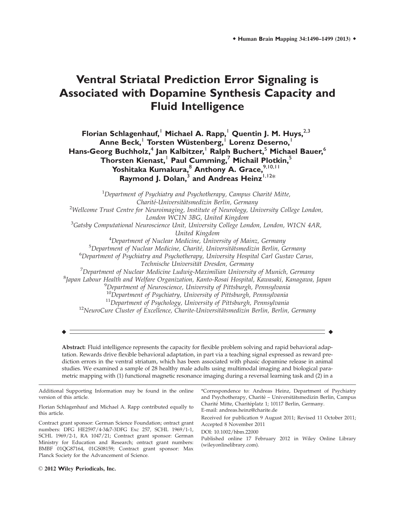# **Ventral Striatal Prediction Error Signaling is Associated with Dopamine Synthesis Capacity and Fluid Intelligence**

**Florian Schlagenhauf,**<sup>1</sup> **Michael A. Rapp,**<sup>1</sup> **Quentin J. M. Huys,**2,3 **Anne Beck,**<sup>1</sup> **Torsten Wu¨ stenberg,**<sup>1</sup> **Lorenz Deserno,**<sup>1</sup> **Hans-Georg Buchholz,**<sup>4</sup> **Jan Kalbitzer,**<sup>1</sup> **Ralph Buchert,**<sup>5</sup> **Michael Bauer,**<sup>6</sup> **Thorsten Kienast,**<sup>1</sup> **Paul Cumming,**<sup>7</sup> **Michail Plotkin,**<sup>5</sup> **Yoshitaka Kumakura,**<sup>8</sup> **Anthony A. Grace,**9,10,11 **Raymond J. Dolan, and Andreas Heinz**<sup>1,12\*</sup>

<sup>1</sup>Department of Psychiatry and Psychotherapy, Campus Charité Mitte, Charité-Universitätsmedizin Berlin, Germany <sup>2</sup>Wellcome Trust Centre for Neuroimaging, Institute of Neurology, University College London, London WC1N 3BG, United Kingdom  $^3$ Gatsby Computational Neuroscience Unit, University College London, London, W1CN 4AR, United Kingdom <sup>4</sup>Department of Nuclear Medicine, University of Mainz, Germany <sup>5</sup>Department of Nuclear Medicine, Charité, Universitätsmedizin Berlin, Germany <sup>6</sup>Department of Psychiatry and Psychotherapy, University Hospital Carl Gustav Carus, Technische Universität Dresden, Germany  $^7$ Department of Nuclear Medicine Ludwig-Maximilian University of Munich, Germany 8 Japan Labour Health and Welfare Organization, Kanto-Rosai Hospital, Kawasaki, Kanagawa, Japan 9 Department of Neuroscience, University of Pittsburgh, Pennsylvania  $10$ Department of Psychiatry, University of Pittsburgh, Pennsylvania <sup>11</sup>Department of Psychology, University of Pittsburgh, Pennsylvania  $12$ NeuroCure Cluster of Excellence, Charite-Universitätsmedizin Berlin, Berlin, Germany

Abstract: Fluid intelligence represents the capacity for flexible problem solving and rapid behavioral adaptation. Rewards drive flexible behavioral adaptation, in part via a teaching signal expressed as reward prediction errors in the ventral striatum, which has been associated with phasic dopamine release in animal studies. We examined a sample of 28 healthy male adults using multimodal imaging and biological parametric mapping with (1) functional magnetic resonance imaging during a reversal learning task and (2) in a

 $\bullet$  -contract to the contract of the contract of the contract of the contract of the contract of the contract of the contract of the contract of the contract of the contract of the contract of the contract of the contrac

 $\odot$  2012 Wiley Periodicals, Inc.

Planck Society for the Advancement of Science.

BMBF 01QG87164, 01GS08159; Contract grant sponsor: Max

Additional Supporting Information may be found in the online version of this article. Florian Schlagenhauf and Michael A. Rapp contributed equally to this article. Contract grant sponsor: German Science Foundation; ontract grant numbers: DFG HE2597/4-3&7-3DFG Exc 257, SCHL 1969/1-1, SCHL 1969/2-1, RA 1047/21; Contract grant sponsor: German Ministry for Education and Research; ontract grant numbers: \*Correspondence to: Andreas Heinz, Department of Psychiatry and Psychotherapy, Charité – Universitätsmedizin Berlin, Campus Charité Mitte, Charitéplatz 1; 10117 Berlin, Germany. E-mail: andreas.heinz@charite.de Received for publication 9 August 2011; Revised 11 October 2011; Accepted 8 November 2011 DOI: 10.1002/hbm.22000 Published online 17 February 2012 in Wiley Online Library (wileyonlinelibrary.com).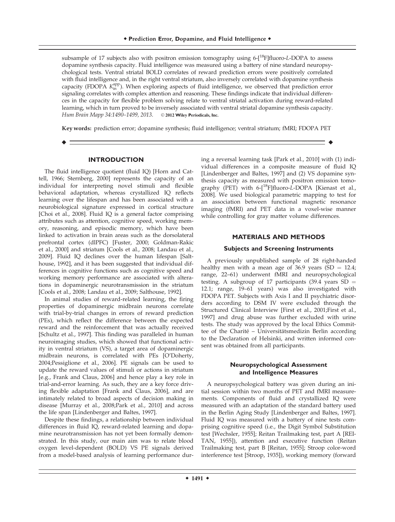subsample of 17 subjects also with positron emission tomography using  $6-[$ <sup>18</sup>F]fluoro-L-DOPA to assess dopamine synthesis capacity. Fluid intelligence was measured using a battery of nine standard neuropsychological tests. Ventral striatal BOLD correlates of reward prediction errors were positively correlated with fluid intelligence and, in the right ventral striatum, also inversely correlated with dopamine synthesis capacity (FDOPA  $K_{\text{in}}^{\text{app}}$ ). When exploring aspects of fluid intelligence, we observed that prediction error signaling correlates with complex attention and reasoning. These findings indicate that individual differences in the capacity for flexible problem solving relate to ventral striatal activation during reward-related learning, which in turn proved to be inversely associated with ventral striatal dopamine synthesis capacity. Hum Brain Mapp 34:1490-1499, 2013. © 2012 Wiley Periodicals, Inc.

Key words: prediction error; dopamine synthesis; fluid intelligence; ventral striatum; fMRI; FDOPA PET

r r

# **INTRODUCTION**

The fluid intelligence quotient (fluid IQ) [Horn and Cattell, 1966; Sternberg, 2000] represents the capacity of an individual for interpreting novel stimuli and flexible behavioral adaptation, whereas crystallized IQ reflects learning over the lifespan and has been associated with a neurobiological signature expressed in cortical structure [Choi et al., 2008]. Fluid IQ is a general factor comprising attributes such as attention, cognitive speed, working memory, reasoning, and episodic memory, which have been linked to activation in brain areas such as the dorsolateral prefrontal cortex (dlPFC) [Fuster, 2000; Goldman-Rakic et al., 2000] and striatum [Cools et al., 2008; Landau et al., 2009]. Fluid IQ declines over the human lifespan [Salthouse, 1992], and it has been suggested that individual differences in cognitive functions such as cognitive speed and working memory performance are associated with alterations in dopaminergic neurotransmission in the striatum [Cools et al., 2008; Landau et al., 2009; Salthouse, 1992].

In animal studies of reward-related learning, the firing properties of dopaminergic midbrain neurons correlate with trial-by-trial changes in errors of reward prediction (PEs), which reflect the difference between the expected reward and the reinforcement that was actually received [Schultz et al., 1997]. This finding was paralleled in human neuroimaging studies, which showed that functional activity in ventral striatum (VS), a target area of dopaminergic midbrain neurons, is correlated with PEs [O'Doherty, 2004;Pessiglione et al., 2006]. PE signals can be used to update the reward values of stimuli or actions in striatum [e.g., Frank and Claus, 2006] and hence play a key role in trial-and-error learning. As such, they are a key force driving flexible adaptation [Frank and Claus, 2006], and are intimately related to broad aspects of decision making in disease [Murray et al., 2008;Park et al., 2010] and across the life span [Lindenberger and Baltes, 1997].

Despite these findings, a relationship between individual differences in fluid IQ, reward-related learning and dopamine neurotransmission has not yet been formally demonstrated. In this study, our main aim was to relate blood oxygen level-dependent (BOLD) VS PE signals derived from a model-based analysis of learning performance dur-

ing a reversal learning task [Park et al., 2010] with (1) individual differences in a composite measure of fluid IQ [Lindenberger and Baltes, 1997] and (2) VS dopamine synthesis capacity as measured with positron emission tomography (PET) with 6-[<sup>18</sup>F]fluoro-L-DOPA [Kienast et al., 2008]. We used biological parametric mapping to test for an association between functional magnetic resonance imaging (fMRI) and PET data in a voxel-wise manner while controlling for gray matter volume differences.

## **MATERIALS AND METHODS**

#### **Subjects and Screening Instruments**

A previously unpublished sample of 28 right-handed healthy men with a mean age of 36.9 years  $(SD = 12.4;$ range, 22–61) underwent fMRI and neuropsychological testing. A subgroup of 17 participants (39.4 years  $SD =$ 12.1; range, 19–61 years) was also investigated with FDOPA PET. Subjects with Axis I and II psychiatric disorders according to DSM IV were excluded through the Structured Clinical Interview [First et al., 2001;First et al., 1997] and drug abuse was further excluded with urine tests. The study was approved by the local Ethics Committee of the Charité – Universitätsmedizin Berlin according to the Declaration of Helsinki, and written informed consent was obtained from all participants.

# **Neuropsychological Assessment and Intelligence Measures**

A neuropsychological battery was given during an initial session within two months of PET and fMRI measurements. Components of fluid and crystallized IQ were measured with an adaptation of the standard battery used in the Berlin Aging Study [Lindenberger and Baltes, 1997]. Fluid IQ was measured with a battery of nine tests comprising cognitive speed (i.e., the Digit Symbol Substitution test [Wechsler, 1955]; Reitan Trailmaking test, part A [REI-TAN, 1955]), attention and executive function (Reitan Trailmaking test, part B [Reitan, 1955]; Stroop color-word interference test [Stroop, 1935]), working memory (forward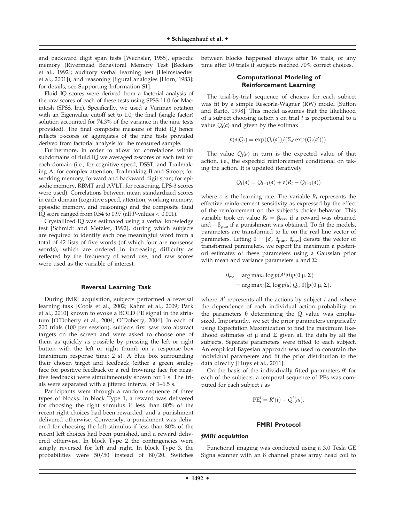and backward digit span tests [Wechsler, 1955], episodic memory (Rivermead Behavioral Memory Test [Beckers et al., 1992]; auditory verbal learning test [Helmstaedter et al., 2001]), and reasoning [figural analogies [Horn, 1983]: for details, see Supporting Information S1].

Fluid IQ scores were derived from a factorial analysis of the raw scores of each of these tests using SPSS 11.0 for Macintosh (SPSS, Inc). Specifically, we used a Varimax rotation with an Eigenvalue cutoff set to 1.0; the final (single factor) solution accounted for 74.3% of the variance in the nine tests provided). The final composite measure of fluid IQ hence reflects z-scores of aggregates of the nine tests provided derived from factorial analysis for the measured sample.

Furthermore, in order to allow for correlations within subdomains of fluid IQ we averaged z-scores of each test for each domain (i.e., for cognitive speed, DSST, and Trailmaking A; for complex attention, Trailmaking B and Stroop; for working memory, forward and backward digit span; for episodic memory, RBMT and AVLT, for reasoning, LPS-3 scores were used). Correlations between mean standardized scores in each domain (cognitive speed, attention, working memory, episodic memory, and reasoning) and the composite fluid IQ score ranged from 0.54 to 0.97 (all P-values < 0.001).

Crystallized IQ was estimated using a verbal knowledge test [Schmidt and Metzler, 1992], during which subjects are required to identify each one meaningful word from a total of 42 lists of five words (of which four are nonsense words), which are ordered in increasing difficulty as reflected by the frequency of word use, and raw scores were used as the variable of interest.

#### **Reversal Learning Task**

During fMRI acquisition, subjects performed a reversal learning task [Cools et al., 2002; Kahnt et al., 2009; Park et al., 2010] known to evoke a BOLD PE signal in the striatum [O'Doherty et al., 2004; O'Doherty, 2004]. In each of 200 trials (100 per session), subjects first saw two abstract targets on the screen and were asked to choose one of them as quickly as possible by pressing the left or right button with the left or right thumb on a response box (maximum response time: 2 s). A blue box surrounding their chosen target and feedback (either a green smiley face for positive feedback or a red frowning face for negative feedback) were simultaneously shown for 1 s. The trials were separated with a jittered interval of 1–6.5 s.

Participants went through a random sequence of three types of blocks. In block Type 1, a reward was delivered for choosing the right stimulus if less than 80% of the recent right choices had been rewarded, and a punishment delivered otherwise. Conversely, a punishment was delivered for choosing the left stimulus if less than 80% of the recent left choices had been punished, and a reward delivered otherwise. In block Type 2 the contingencies were simply reversed for left and right. In block Type 3, the probabilities were 50/50 instead of 80/20. Switches between blocks happened always after 16 trials, or any time after 10 trials if subjects reached 70% correct choices.

# **Computational Modeling of Reinforcement Learning**

The trial-by-trial sequence of choices for each subject was fit by a simple Rescorla-Wagner (RW) model [Sutton and Barto, 1998]. This model assumes that the likelihood of a subject choosing action  $a$  on trial  $t$  is proportional to a value  $Q_t(a)$  and given by the softmax

$$
p(a|Q_t) = \exp(Q_t(a)) / (\Sigma_{a'} \exp(Q_t(a'))).
$$

The value  $Q_t(a)$  in turn is the expected value of that action, i.e., the expected reinforcement conditional on taking the action. It is updated iteratively

$$
Q_t(a) = Q_{t-1}(a) + \varepsilon (R_t - Q_{t-1}(a))
$$

where  $\varepsilon$  is the learning rate. The variable  $R_t$  represents the effective reinforcement sensitivity as expressed by the effect of the reinforcement on the subject's choice behavior. This variable took on value  $R_t = \beta_{rew}$  if a reward was obtained and  $-\beta_{\text{pun}}$  if a punishment was obtained. To fit the models, parameters are transformed to lie on the real line vector of parameters. Letting  $\theta = [\varepsilon', \beta'_{\text{pun}} \beta'_{\text{rew}}]$  denote the vector of transformed parameters, we report the maximum a posteriori estimates of these parameters using a Gaussian prior with mean and variance parameters  $\mu$  and  $\Sigma$ :

$$
\theta_{\text{est}} = \arg \max_{\theta} \log p(A^i | \theta) p(\theta | \mu, \Sigma)
$$
  
= 
$$
\arg \max_{\theta} [\Sigma_t \log p(a_t^i | Q_t, \theta)] p(\theta | \mu, \Sigma).
$$

where  $A<sup>i</sup>$  represents all the actions by subject *i* and where the dependence of each individual action probability on the parameters  $\theta$  determining the Q value was emphasized. Importantly, we set the prior parameters empirically using Expectation Maximization to find the maximum likelihood estimates of  $\mu$  and  $\Sigma$  given all the data by all the subjects. Separate parameters were fitted to each subject. An empirical Bayesian approach was used to constrain the individual parameters and fit the prior distribution to the data directly [Huys et al., 2011].

On the basis of the individually fitted parameters  $\theta^i$  for each of the subjects, a temporal sequence of PEs was computed for each subject i as

$$
PE_t^i = R^i(t) - Q_t^i(a_t).
$$

## **FMRI Protocol**

#### fMRI acquisition

Functional imaging was conducted using a 3.0 Tesla GE Signa scanner with an 8 channel phase array head coil to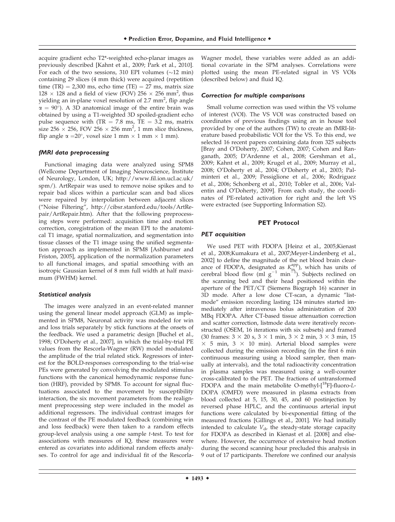acquire gradient echo T2\*-weighted echo-planar images as previously described [Kahnt et al., 2009; Park et al., 2010]. For each of the two sessions, 310 EPI volumes  $(\sim 12 \text{ min})$ containing 29 slices (4 mm thick) were acquired (repetition time (TR) =  $2,300$  ms, echo time (TE) =  $27$  ms, matrix size  $128 \times 128$  and a field of view (FOV) 256  $\times$  256 mm<sup>2</sup>, thus yielding an in-plane voxel resolution of 2.7 mm<sup>2</sup>, flip angle  $\alpha = 90^{\circ}$ ). A 3D anatomical image of the entire brain was obtained by using a T1-weighted 3D spoiled-gradient echo pulse sequence with (TR = 7.8 ms, TE = 3.2 ms, matrix size  $256 \times 256$ , FOV  $256 \times 256$  mm<sup>2</sup>, 1 mm slice thickness, flip angle  $\alpha = 20^{\circ}$ , voxel size 1 mm  $\times$  1 mm  $\times$  1 mm).

### fMRI data preprocessing

Functional imaging data were analyzed using SPM8 (Wellcome Department of Imaging Neuroscience, Institute of Neurology, London, UK; http://www.fil.ion.ucl.ac.uk/ spm/). ArtRepair was used to remove noise spikes and to repair bad slices within a particular scan and bad slices were repaired by interpolation between adjacent slices (''Noise Filtering'', http://cibsr.stanford.edu/tools/ArtRepair/ArtRepair.htm). After that the following preprocessing steps were performed: acquisition time and motion correction, coregistration of the mean EPI to the anatomical T1 image, spatial normalization, and segmentation into tissue classes of the T1 image using the unified segmentation approach as implemented in SPM8 [Ashburner and Friston, 2005], application of the normalization parameters to all functional images, and spatial smoothing with an isotropic Gaussian kernel of 8 mm full width at half maximum (FWHM) kernel.

## Statistical analysis

The images were analyzed in an event-related manner using the general linear model approach (GLM) as implemented in SPM8, Neuronal activity was modeled for win and loss trials separately by stick functions at the onsets of the feedback. We used a parametric design [Buchel et al., 1998; O'Doherty et al., 2007], in which the trial-by-trial PE values from the Rescorla-Wagner (RW) model modulated the amplitude of the trial related stick. Regressors of interest for the BOLD-responses corresponding to the trial-wise PEs were generated by convolving the modulated stimulus functions with the canonical hemodynamic response function (HRF), provided by SPM8. To account for signal fluctuations associated to the movement by susceptibility interaction, the six movement parameters from the realignment preprocessing step were included in the model as additional regressors. The individual contrast images for the contrast of the PE modulated feedback (combining win and loss feedback) were then taken to a random effects group-level analysis using a one sample t-test. To test for associations with measures of IQ, these measures were entered as covariates into additional random effects analyses. To control for age and individual fit of the Rescorla-

Wagner model, these variables were added as an additional covariate in the SPM analyses. Correlations were plotted using the mean PE-related signal in VS VOIs (described below) and fluid IQ.

## Correction for multiple comparisons

Small volume correction was used within the VS volume of interest (VOI). The VS VOI was constructed based on coordinates of previous findings using an in house tool provided by one of the authors (TW) to create an fMRI-literature based probabilistic VOI for the VS. To this end, we selected 16 recent papers containing data from 325 subjects [Bray and O'Doherty, 2007; Cohen, 2007; Cohen and Ranganath, 2005; D'Ardenne et al., 2008; Gershman et al., 2009; Kahnt et al., 2009; Krugel et al., 2009; Murray et al., 2008; O'Doherty et al., 2004; O'Doherty et al., 2003; Palminteri et al., 2009; Pessiglione et al., 2006; Rodriguez et al., 2006; Schonberg et al., 2010; Tobler et al., 2006; Valentin and O'Doherty, 2009]. From each study, the coordinates of PE-related activation for right and the left VS were extracted (see Supporting Information S2).

## **PET Protocol**

## PET acquisition

We used PET with FDOPA [Heinz et al., 2005;Kienast et al., 2008;Kumakura et al., 2007;Meyer-Lindenberg et al., 2002] to define the magnitude of the net blood brain clearance of FDOPA, designated as  $K_{\text{in}_1}^{\text{app}}$ ), which has units of cerebral blood flow (ml  $g^{-1}$  min<sup>21</sup>). Subjects reclined on the scanning bed and their head positioned within the aperture of the PET/CT (Siemens Biograph 16) scanner in 3D mode. After a low dose CT-scan, a dynamic ''listmode'' emission recording lasting 124 minutes started immediately after intravenous bolus administration of 200 MBq FDOPA. After CT-based tissue attenuation correction and scatter correction, listmode data were iteratively reconstructed (OSEM, 16 iterations with six subsets) and framed (30 frames:  $3 \times 20$  s,  $3 \times 1$  min,  $3 \times 2$  min,  $3 \times 3$  min,  $15$  $\times$  5 min, 3  $\times$  10 min). Arterial blood samples were collected during the emission recording (in the first 6 min continuous measuring using a blood sampler, then manually at intervals), and the total radioactivity concentration in plasma samples was measured using a well-counter cross-calibrated to the PET. The fractions of untransformed FDOPA and the main metabolite O-methyl-[<sup>18</sup>F]-fluoro-L-DOPA (OMFD) were measured in plasma extracts from blood collected at 5, 15, 30, 45, and 60 postinjection by reversed phase HPLC, and the continuous arterial input functions were calculated by bi-exponential fitting of the measured fractions [Gillings et al., 2001]. We had initially intended to calculate  $V_{d}$ , the steady-state storage capacity for FDOPA as described in Kienast et al. [2008] and elsewhere. However, the occurrence of extensive head motion during the second scanning hour precluded this analysis in 9 out of 17 participants. Therefore we confined our analysis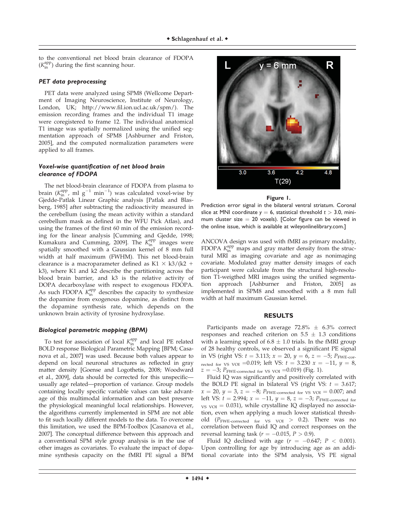to the conventional net blood brain clearance of FDOPA  $(K<sub>in</sub><sup>app</sup>)$  during the first scanning hour.

# PET data preprocessing

PET data were analyzed using SPM8 (Wellcome Department of Imaging Neuroscience, Institute of Neurology, London, UK; http://www.fil.ion.ucl.ac.uk/spm/). The emission recording frames and the individual T1 image were coregistered to frame 12. The individual anatomical T1 image was spatially normalized using the unified segmentation approach of SPM8 [Ashburner and Friston, 2005], and the computed normalization parameters were applied to all frames.

# Voxel-wise quantification of net blood brain clearance of FDOPA

The net blood-brain clearance of FDOPA from plasma to brain ( $K_{\text{in}}^{\text{app}}$ , ml  $g^{-1}$  min $^{-1}$ ) was calculated voxel-wise by Gjedde-Patlak Linear Graphic analysis [Patlak and Blasberg, 1985] after subtracting the radioactivity measured in the cerebellum (using the mean activity within a standard cerebellum mask as defined in the WFU Pick Atlas), and using the frames of the first 60 min of the emission recording for the linear analysis [Cumming and Gjedde, 1998; Kumakura and Cumming, 2009]. The  $K_{\text{in}}^{\text{app}}$  images were spatially smoothed with a Gaussian kernel of 8 mm full width at half maximum (FWHM). This net blood-brain clearance is a macroparameter defined as K1  $\times$  k3/(k2 + k3), where K1 and k2 describe the partitioning across the blood brain barrier, and k3 is the relative activity of DOPA decarboxylase with respect to exogenous FDOPA. As such FDOPA  $K_{\text{in}}^{\text{app}}$  describes the capacity to synthesize the dopamine from exogenous dopamine, as distinct from the dopamine synthesis rate, which depends on the unknown brain activity of tyrosine hydroxylase.

## Biological parametric mapping (BPM)

To test for association of local  $K_{\text{in}}^{\text{app}}$  and local PE related BOLD response Biological Parametric Mapping [BPM; Casanova et al., 2007] was used. Because both values appear to depend on local neuronal structures as reflected in gray matter density [Goense and Logothetis, 2008; Woodward et al., 2009], data should be corrected for this unspecific usually age related—proportion of variance. Group models containing locally specific variable values can take advantage of this multimodal information and can best preserve the physiological meaningful local relationships. However, the algorithms currently implemented in SPM are not able to fit such locally different models to the data. To overcome this limitation, we used the BPM-Toolbox [Casanova et al., 2007]. The conceptual difference between this approach and a conventional SPM style group analysis is in the use of other images as covariates. To evaluate the impact of dopamine synthesis capacity on the fMRI PE signal a BPM



#### **Figure 1.**

Prediction error signal in the bilateral ventral striatum. Coronal slice at MNI coordinate  $y = 6$ , statistical threshold  $t > 3.0$ , minimum cluster size  $= 20$  voxels). [Color figure can be viewed in the online issue, which is available at wileyonlinelibrary.com.]

ANCOVA design was used with fMRI as primary modality, FDOPA  $K_{\text{in}}^{\text{app}}$  maps and gray matter density from the structural MRI as imaging covariate and age as nonimaging covariate. Modulated gray matter density images of each participant were calculate from the structural high-resolution T1-weigthed MRI images using the unified segmentation approach [Ashburner and Friston, 2005] as implemented in SPM8 and smoothed with a 8 mm full width at half maximum Gaussian kernel.

#### **RESULTS**

Participants made on average  $72.8\% \pm 6.3\%$  correct responses and reached criterion on  $5.5 \pm 1.3$  conditions with a learning speed of  $6.8 \pm 1.0$  trials. In the fMRI group of 28 healthy controls, we observed a significant PE signal in VS (right VS:  $t = 3.113$ ;  $x = 20$ ,  $y = 6$ ,  $z = -5$ ;  $P_{\text{FWE-cor}}$ rected for VS VOI = 0.019; left VS:  $t = 3.230$   $x = -11$ ,  $y = 8$ ,  $z = -3$ ; P<sub>FWE-corrected for VS VOI</sub> =0.019) (Fig. 1).

Fluid IQ was significantly and positively correlated with the BOLD PE signal in bilateral VS (right VS:  $t = 3.617$ ;  $x = 20$ ,  $y = 3$ ,  $z = -8$ ;  $P_{\text{FWE-corrected for VS VOI}} = 0.007$ ; and left VS:  $t = 2.994$ ;  $x = -11$ ,  $y = 8$ ,  $z = -3$ ; P<sub>FWE-corrected for</sub>  $_{\text{VS VOI}}$  = 0.031), while crystalline IQ displayed no association, even when applying a much lower statistical threshold ( $P_{\text{FWE-corrected}}$  for vs vOI > 0.2). There was no correlation between fluid IQ and correct responses on the reversal learning task ( $r = -0.015$ ,  $P > 0.9$ ).

Fluid IQ declined with age  $(r = -0.647; P < 0.001)$ . Upon controlling for age by introducing age as an additional covariate into the SPM analysis, VS PE signal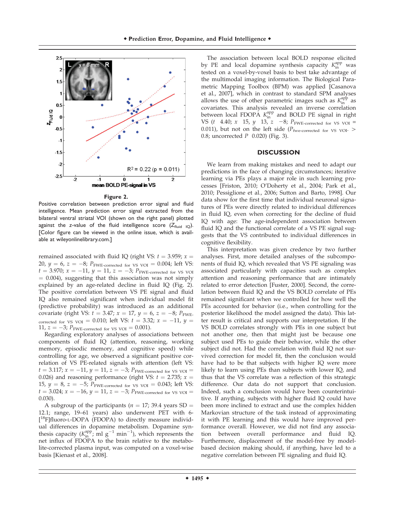

**Figure 2.**

Positive correlation between prediction error signal and fluid intelligence. Mean prediction error signal extracted from the bilateral ventral striatal VOI (shown on the right panel) plotted against the z-value of the fluid intelligence score (Z<sub>fluid IQ</sub>). [Color figure can be viewed in the online issue, which is available at wileyonlinelibrary.com.]

remained associated with fluid IQ (right VS:  $t = 3.959$ ;  $x =$ 20,  $y = 6$ ,  $z = -8$ ;  $P_{\text{FWE-corrected for VS VOI}} = 0.004$ ; left VS:  $t = 3.970; x = -11, y = 11, z = -3; P<sub>FWE-corrected for VS VOI</sub>$  $= 0.004$ ), suggesting that this association was not simply explained by an age-related decline in fluid IQ (Fig. 2). The positive correlation between VS PE signal and fluid IQ also remained significant when individual model fit (predictive probability) was introduced as an additional covariate (right VS:  $t = 3.47; x = 17, y = 6, z = -8; P<sub>FWE</sub>$ corrected for VS VOI = 0.010; left VS:  $t = 3.32$ ;  $x = -11$ ,  $y =$ 11,  $z = -3$ ;  $P_{\text{FWE-corrected for VS VOI}} = 0.001$ .

Regarding exploratory analyses of associations between components of fluid IQ (attention, reasoning, working memory, episodic memory, and cognitive speed) while controlling for age, we observed a significant positive correlation of VS PE-related signals with attention (left VS:  $t = 3.117; x = -11, y = 11, z = -3; P<sub>FWE-corrected for VS VOI</sub>$ 0.026) and reasoning performance (right VS:  $t = 2.735$ ;  $x =$ 15,  $y = 8$ ,  $z = -5$ ;  $P_{\text{FWE-corrected for VS VOI}} = 0.043$ ; left VS:  $t = 3.024$ ;  $x = -16$ ,  $y = 11$ ,  $z = -3$ ; P<sub>FWE-corrected for VS VOI</sub> = 0.030).

A subgroup of the participants ( $n = 17$ ; 39.4 years SD = 12.1; range, 19–61 years) also underwent PET with 6- [ 18F]fluoro-L-DOPA (FDOPA) to directly measure individual differences in dopamine metabolism. Dopamine synthesis capacity  $(K_{\text{in}}^{\text{app}})$ ; ml  $g^{-1}$  min<sup>-1</sup>), which represents the net influx of FDOPA to the brain relative to the metabolite-corrected plasma input, was computed on a voxel-wise basis [Kienast et al., 2008].

The association between local BOLD response elicited by PE and local dopamine synthesis capacity  $K_{\text{in}}^{\text{app}}$  was tested on a voxel-by-voxel basis to best take advantage of the multimodal imaging information. The Biological Parametric Mapping Toolbox (BPM) was applied [Casanova et al., 2007], which in contrast to standard SPM analyses allows the use of other parametric images such as  $K_{\text{in}}^{\text{app}}$  as covariates. This analysis revealed an inverse correlation between local FDOPA  $K_{\text{in}}^{\text{app}}$  and BOLD PE signal in right VS (*t* 4.40; x 15, y 13, z -8;  $P_{\text{FWE-corrected for VS VOI}} =$ 0.011), but not on the left side ( $P_{\text{fwe-corrected for VS VOI}}$ . 0.8; uncorrected  $P$  0.020) (Fig. 3).

## **DISCUSSION**

We learn from making mistakes and need to adapt our predictions in the face of changing circumstances; iterative learning via PEs plays a major role in such learning processes [Friston, 2010; O'Doherty et al., 2004; Park et al., 2010; Pessiglione et al., 2006; Sutton and Barto, 1998]. Our data show for the first time that individual neuronal signatures of PEs were directly related to individual differences in fluid IQ, even when correcting for the decline of fluid IQ with age: The age-independent association between fluid IQ and the functional correlate of a VS PE signal suggests that the VS contributed to individual differences in cognitive flexibility.

This interpretation was given credence by two further analyses. First, more detailed analyses of the subcomponents of fluid IQ, which revealed that VS PE signaling was associated particularly with capacities such as complex attention and reasoning performance that are intimately related to error detection [Fuster, 2000]. Second, the correlation between fluid IQ and the VS BOLD correlate of PEs remained significant when we controlled for how well the PEs accounted for behavior (i.e., when controlling for the posterior likelihood the model assigned the data). This latter result is critical and supports our interpretation. If the VS BOLD correlates strongly with PEs in one subject but not another one, then that might just be because one subject used PEs to guide their behavior, while the other subject did not. Had the correlation with fluid IQ not survived correction for model fit, then the conclusion would have had to be that subjects with higher IQ were more likely to learn using PEs than subjects with lower IQ, and thus that the VS correlate was a reflection of this strategic difference. Our data do not support that conclusion. Indeed, such a conclusion would have been counterintuitive. If anything, subjects with higher fluid IQ could have been more inclined to extract and use the complex hidden Markovian structure of the task instead of approximating it with PE learning and this would have improved performance overall. However, we did not find any association between overall performance and fluid IQ. Furthermore, displacement of the model-free by modelbased decision making should, if anything, have led to a negative correlation between PE signaling and fluid IQ.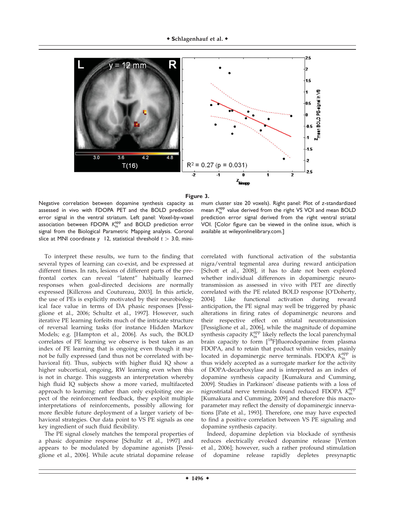



Negative correlation between dopamine synthesis capacity as assessed in vivo with FDOPA PET and the BOLD prediction error signal in the ventral striatum. Left panel: Voxel-by-voxel association between FDOPA  $K_{\text{in}}^{\text{app}}$  and BOLD prediction error signal from the Biological Parametric Mapping analysis. Coronal slice at MNI coordinate  $y$  12, statistical threshold  $t > 3.0$ , mini-

mum cluster size 20 voxels). Right panel: Plot of *z*-standardized mean  $K_{\text{in}}^{\text{app}}$  value derived from the right VS VOI and mean BOLD prediction error signal derived from the right ventral striatal VOI. [Color figure can be viewed in the online issue, which is available at wileyonlinelibrary.com.]

To interpret these results, we turn to the finding that several types of learning can co-exist, and be expressed at different times. In rats, lesions of different parts of the prefrontal cortex can reveal ''latent'' habitually learned responses when goal-directed decisions are normally expressed [Killcross and Coutureau, 2003]. In this article, the use of PEs is explicitly motivated by their neurobiological face value in terms of DA phasic responses [Pessiglione et al., 2006; Schultz et al., 1997]. However, such iterative PE learning forfeits much of the intricate structure of reversal learning tasks (for instance Hidden Markov Models; e.g. [Hampton et al., 2006]. As such, the BOLD correlates of PE learning we observe is best taken as an index of PE learning that is ongoing even though it may not be fully expressed (and thus not be correlated with behavioral fit). Thus, subjects with higher fluid IQ show a higher subcortical, ongoing, RW learning even when this is not in charge. This suggests an interpretation whereby high fluid IQ subjects show a more varied, multifaceted approach to learning: rather than only exploiting one aspect of the reinforcement feedback, they exploit multiple interpretations of reinforcements, possibly allowing for more flexible future deployment of a larger variety of behavioral strategies. Our data point to VS PE signals as one key ingredient of such fluid flexibility.

The PE signal closely matches the temporal properties of a phasic dopamine response [Schultz et al., 1997] and appears to be modulated by dopamine agonists [Pessiglione et al., 2006]. While acute striatal dopamine release

correlated with functional activation of the substantia nigra/ventral tegmental area during reward anticipation [Schott et al., 2008], it has to date not been explored whether individual differences in dopaminergic neurotransmission as assessed in vivo with PET are directly correlated with the PE related BOLD response [O'Doherty, 2004]. Like functional activation during reward anticipation, the PE signal may well be triggered by phasic alterations in firing rates of dopaminergic neurons and their respective effect on striatal neurotransmission [Pessiglione et al., 2006], while the magnitude of dopamine synthesis capacity  $K_{\text{in}}^{\text{app}}$  likely reflects the local parenchymal brain capacity to form  $[$ <sup>18</sup>F]fluorodopamine from plasma FDOPA, and to retain that product within vesicles, mainly located in dopaminergic nerve terminals. FDOPA  $K_{\text{in}}^{\text{app}}$  is thus widely accepted as a surrogate marker for the activity of DOPA-decarboxylase and is interpreted as an index of dopamine synthesis capacity [Kumakura and Cumming, 2009]. Studies in Parkinson' disease patients with a loss of nigrostriatal nerve terminals found reduced FDOPA  $K_{\text{in}}^{\text{app}}$ [Kumakura and Cumming, 2009] and therefore this macroparameter may reflect the density of dopaminergic innervations [Pate et al., 1993]. Therefore, one may have expected to find a positive correlation between VS PE signaling and dopamine synthesis capacity.

Indeed, dopamine depletion via blockade of synthesis reduces electrically evoked dopamine release [Venton et al., 2006]; however, such a rather profound stimulation of dopamine release rapidly depletes presynaptic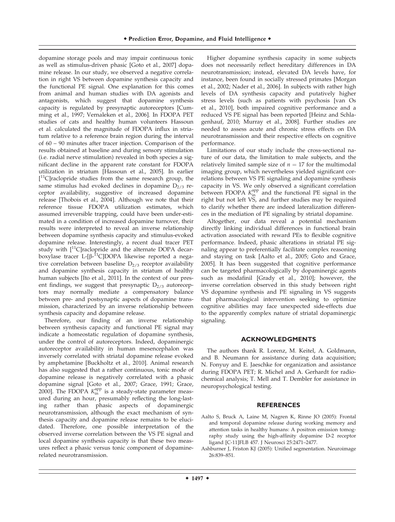dopamine storage pools and may impair continuous tonic as well as stimulus-driven phasic [Goto et al., 2007] dopamine release. In our study, we observed a negative correlation in right VS between dopamine synthesis capacity and the functional PE signal. One explanation for this comes from animal and human studies with DA agonists and antagonists, which suggest that dopamine synthesis capacity is regulated by presynaptic autoreceptors [Cumming et al., 1997; Vernaleken et al., 2006]. In FDOPA PET studies of cats and healthy human volunteers Hassoun et al. calculated the magnitude of FDOPA influx in striatum relative to a reference brain region during the interval of 60 – 90 minutes after tracer injection. Comparison of the results obtained at baseline and during sensory stimulation (i.e. radial nerve stimulation) revealed in both species a significant decline in the apparent rate constant for FDOPA utilization in striatum [Hassoun et al., 2005]. In earlier [<sup>11</sup>C]raclopride studies from the same research group, the same stimulus had evoked declines in dopamine  $D_{2/3}$  receptor availability, suggestive of increased dopamine release [Thobois et al., 2004]. Although we note that their reference tissue FDOPA utilization estimates, which assumed irreversible trapping, could have been under-estimated in a condition of increased dopamine turnover, their results were interpreted to reveal an inverse relationship between dopamine synthesis capacity and stimulus-evoked dopamine release. Interestingly, a recent dual tracer PET study with [<sup>11</sup>C]raclopride and the alternate DOPA decarboxylase tracer L-[β-<sup>11</sup>C]DOPA likewise reported a negative correlation between baseline  $D_{2/3}$  receptor availability and dopamine synthesis capacity in striatum of healthy human subjects [Ito et al., 2011]. In the context of our present findings, we suggest that presynaptic  $D_{2/3}$  autoreceptors may normally mediate a compensatory balance between pre- and postsynaptic aspects of dopamine transmission, characterized by an inverse relationship between synthesis capacity and dopamine release.

Therefore, our finding of an inverse relationship between synthesis capacity and functional PE signal may indicate a homeostatic regulation of dopamine synthesis, under the control of autoreceptors. Indeed, dopaminergic autoreceptor availability in human mesencephalon was inversely correlated with striatal dopamine release evoked by amphetamine [Buckholtz et al., 2010]. Animal research has also suggested that a rather continuous, tonic mode of dopamine release is negatively correlated with a phasic dopamine signal [Goto et al., 2007; Grace, 1991; Grace, 2000]. The FDOPA  $K_{\text{in}}^{\text{app}}$  is a steady-state parameter measured during an hour, presumably reflecting the long-lasting rather than phasic aspects of dopaminergic neurotransmission, although the exact mechanism of synthesis capacity and dopamine release remains to be elucidated. Therefore, one possible interpretation of the observed inverse correlation between the VS PE signal and local dopamine synthesis capacity is that these two measures reflect a phasic versus tonic component of dopaminerelated neurotransmission.

Higher dopamine synthesis capacity in some subjects does not necessarily reflect hereditary differences in DA neurotransmission; instead, elevated DA levels have, for instance, been found in socially stressed primates [Morgan et al., 2002; Nader et al., 2006]. In subjects with rather high levels of DA synthesis capacity and putatively higher stress levels (such as patients with psychosis [van Os et al., 2010], both impaired cognitive performance and a reduced VS PE signal has been reported [Heinz and Schlagenhauf, 2010; Murray et al., 2008]. Further studies are needed to assess acute and chronic stress effects on DA neurotransmission and their respective effects on cognitive performance.

Limitations of our study include the cross-sectional nature of our data, the limitation to male subjects, and the relatively limited sample size of  $n = 17$  for the multimodal imaging group, which nevertheless yielded significant correlations between VS PE signaling and dopamine synthesis capacity in VS. We only observed a significant correlation between FDOPA  $K_{\text{in}}^{\text{app}}$  and the functional PE signal in the right but not left VS, and further studies may be required to clarify whether there are indeed lateralization differences in the mediation of PE signaling by striatal dopamine.

Altogether, our data reveal a potential mechanism directly linking individual differences in functional brain activation associated with reward PEs to flexible cognitive performance. Indeed, phasic alterations in striatal PE signaling appear to preferentially facilitate complex reasoning and staying on task [Aalto et al., 2005; Goto and Grace, 2005]. It has been suggested that cognitive performance can be targeted pharmacologically by dopaminergic agents such as modafinil [Grady et al., 2010]; however, the inverse correlation observed in this study between right VS dopamine synthesis and PE signaling in VS suggests that pharmacological intervention seeking to optimize cognitive abilities may face unexpected side-effects due to the apparently complex nature of striatal dopaminergic signaling.

#### **ACKNOWLEDGMENTS**

The authors thank R. Lorenz, M. Keitel, A. Goldmann, and B. Neumann for assistance during data acquisition; N. Fonyuy and E. Jaeschke for organization and assistance during FDOPA PET; R. Michel and A. Gerhardt for radiochemical analysis; T. Mell and T. Dembler for assistance in neuropsychological testing.

## **REFERENCES**

- Aalto S, Bruck A, Laine M, Nagren K, Rinne JO (2005): Frontal and temporal dopamine release during working memory and attention tasks in healthy humans: A positron emission tomography study using the high-affinity dopamine D-2 receptor ligand [C-11]FLB 457. J Neurosci 25:2471–2477.
- Ashburner J, Friston KJ (2005): Unified segmentation. Neuroimage 26:839–851.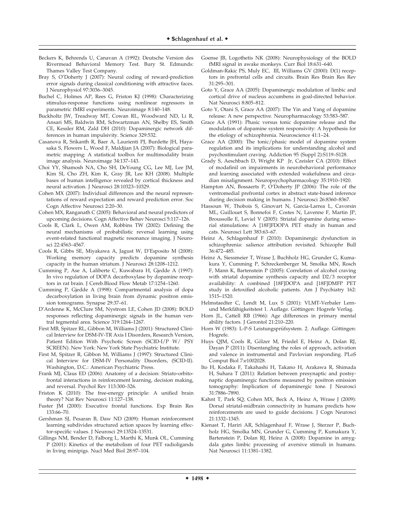- Beckers K, Behrends U, Canavan A (1992): Deutsche Version des Rivermead Behavioral Memory Test. Bury St. Edmunds: Thames Valley Test Company.
- Bray S, O'Doherty J (2007): Neural coding of reward-prediction error signals during classical conditioning with attractive faces. J Neurophysiol 97:3036–3045.
- Buchel C, Holmes AP, Rees G, Friston KJ (1998): Characterizing stimulus-response functions using nonlinear regressors in parametric fMRI experiments. Neuroimage 8:140–148.
- Buckholtz JW, Treadway MT, Cowan RL, Woodward ND, Li R, Ansari MS, Baldwin RM, Schwartzman AN, Shelby ES, Smith CE, Kessler RM, Zald DH (2010): Dopaminergic network differences in human impulsivity. Science 329:532.
- Casanova R, Srikanth R, Baer A, Laurienti PJ, Burdette JH, Hayasaka S, Flowers L, Wood F, Maldjian JA (2007): Biological parametric mapping: A statistical toolbox for multimodality brain image analysis. Neuroimage 34:137–143.
- Choi YY, Shamosh NA, Cho SH, DeYoung CG, Lee MJ, Lee JM, Kim SI, Cho ZH, Kim K, Gray JR, Lee KH (2008). Multiple bases of human intelligence revealed by cortical thickness and neural activation. J Neurosci 28:10323–10329.
- Cohen MX (2007): Individual differences and the neural representations of reward expectation and reward prediction error. Soc Cogn Affective Neurosci 2:20–30.
- Cohen MX, Ranganath C (2005): Behavioral and neural predictors of upcoming decisions. Cogn Affective Behav Neurosci 5:117–126.
- Cools R, Clark L, Owen AM, Robbins TW (2002): Defining the neural mechanisms of probabilistic reversal learning using event-related functional magnetic resonance imaging. J Neurosci 22:4563–4567.
- Cools R, Gibbs SE, Miyakawa A, Jagust W, D'Esposito M (2008): Working memory capacity predicts dopamine synthesis capacity in the human striatum. J Neurosci 28:1208–1212.
- Cumming P, Ase A, Laliberte C, Kuwabara H, Gjedde A (1997): In vivo regulation of DOPA decarboxylase by dopamine receptors in rat brain. J Cereb.Blood Flow Metab 17:1254–1260.
- Cumming P, Gjedde A (1998): Compartmental analysis of dopa decarboxylation in living brain from dynamic positron emission tomograms. Synapse 29:37–61.
- D'Ardenne K, McClure SM, Nystrom LE, Cohen JD (2008): BOLD responses reflecting dopaminergic signals in the human ventral tegmental area. Science 319:1264–1267.
- First MB, Spitzer RL, Gibbon M, Williams J (2001): Structured Clinical Interview for DSM-IV-TR Axis I Disorders, Research Version, Patient Edition With Psychotic Screen (SCID-I/P W/ PSY SCREEN). New York: New York State Psychiatric Institute.
- First M, Spitzer R, Gibbon M, Williams J (1997): Structured Clinical Interview for DSM-IV Personality Disorders, (SCID-II). Washington, D.C.: American Psychiatric Press.
- Frank MJ, Claus ED (2006): Anatomy of a decision: Striato-orbitofrontal interactions in reinforcement learning, decision making, and reversal. Psychol Rev 113:300–326.
- Friston K (2010): The free-energy principle: A unified brain theory? Nat Rev Neurosci 11:127–138.
- Fuster JM (2000): Executive frontal functions. Exp Brain Res 133:66–70.
- Gershman SJ, Pesaran B, Daw ND (2009): Human reinforcement learning subdivides structured action spaces by learning effector-specific values. J Neurosci 29:13524–13531.
- Gillings NM, Bender D, Falborg L, Marthi K, Munk OL, Cumming P (2001): Kinetics of the metabolism of four PET radioligands in living minipigs. Nucl Med Biol 28:97–104.
- Goense JB, Logothetis NK (2008): Neurophysiology of the BOLD fMRI signal in awake monkeys. Curr Biol 18:631–640.
- Goldman-Rakic PS, Muly EC, III, Williams GV (2000): D(1) receptors in prefrontal cells and circuits. Brain Res Brain Res Rev 31:295–301.
- Goto Y, Grace AA (2005): Dopaminergic modulation of limbic and cortical drive of nucleus accumbens in goal-directed behavior. Nat Neurosci 8:805–812.
- Goto Y, Otani S, Grace AA (2007): The Yin and Yang of dopamine release: A new perspective. Neuropharmacology 53:583–587.
- Grace AA (1991): Phasic versus tonic dopamine release and the modulation of dopamine system responsivity: A hypothesis for the etiology of schizophrenia. Neuroscience 41:1–24.
- Grace AA (2000): The tonic/phasic model of dopamine system regulation and its implications for understanding alcohol and psychostimulant craving. Addiction 95 (Suppl 2):S119–S128.
- Grady S, Aeschbach D, Wright KP Jr, Czeisler CA (2010): Effect of modafinil on impairments in neurobehavioral performance and learning associated with extended wakefulness and circadian misalignment. Neuropsychopharmacology 35:1910–1920.
- Hampton AN, Bossaerts P, O'Doherty JP (2006): The role of the ventromedial prefrontal cortex in abstract state-based inference during decision making in humans. J Neurosci 26:8360–8367.
- Hassoun W, Thobois S, Ginovart N, Garcia-Larrea L, Cavorsin ML, Guillouet S, Bonnefoi F, Costes N, Lavenne F, Martin JP, Broussolle E, Leviel V (2005): Striatal dopamine during sensorial stimulations: A [18F]FDOPA PET study in human and cats. Neurosci Lett 383:63–67.
- Heinz A, Schlagenhauf F (2010): Dopaminergic dysfunction in schizophrenia: salience attribution revisited. Schizophr Bull 36:472–485.
- Heinz A, Siessmeier T, Wrase J, Buchholz HG, Grunder G, Kumakura Y, Cumming P, Schreckenberger M, Smolka MN, Rosch F, Mann K, Bartenstein P (2005): Correlation of alcohol craving with striatal dopamine synthesis capacity and D2/3 receptor availability: A combined [18F]DOPA and [18F]DMFP PET study in detoxified alcoholic patients. Am J Psychiatry 162: 1515–1520.
- Helmstaedter C, Lendt M, Lux S (2001): VLMT-Verbaler Lernund Merkfähigkeitstest 1. Auflage. Göttingen: Hogrefe Verlag.
- Horn JL, Cattell RB (1966): Age differences in primary mental ability factors. J Gerontol 21:210-220.
- Horn W (1983): L-P-S Leistungsprüfsystem. 2. Auflage. Göttingen: Hogrefe.
- Huys QJM, Cools R, Gölzer M, Friedel E, Heinz A, Dolan RJ, Dayan P (2011): Disentangling the roles of approach, activation and valence in instrumental and Pavlovian responding. PLoS Comput Biol 7:e1002028.
- Ito H, Kodaka F, Takahashi H, Takano H, Arakawa R, Shimada H, Suhara T (2011): Relation between presynaptic and postsynaptic dopaminergic functions measured by positron emission tomography: Implication of dopaminergic tone. J Neurosci 31:7886–7890.
- Kahnt T, Park SQ, Cohen MX, Beck A, Heinz A, Wrase J (2009): Dorsal striatal-midbrain connectivity in humans predicts how reinforcements are used to guide decisions. J Cogn Neurosci 21:1332–1345.
- Kienast T, Hariri AR, Schlagenhauf F, Wrase J, Sterzer P, Buchholz HG, Smolka MN, Grunder G, Cumming P, Kumakura Y, Bartenstein P, Dolan RJ, Heinz A (2008): Dopamine in amygdala gates limbic processing of aversive stimuli in humans. Nat Neurosci 11:1381–1382.